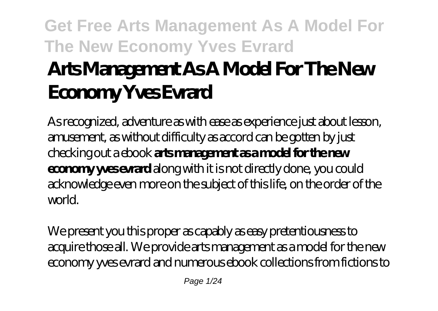# **Get Free Arts Management As A Model For The New Economy Yves Evrard Arts Management As A Model For The New Economy Yves Evrard**

As recognized, adventure as with ease as experience just about lesson, amusement, as without difficulty as accord can be gotten by just checking out a ebook **arts management as a model for the new economy yves evrard** along with it is not directly done, you could acknowledge even more on the subject of this life, on the order of the world.

We present you this proper as capably as easy pretentiousness to acquire those all. We provide arts management as a model for the new economy yves evrard and numerous ebook collections from fictions to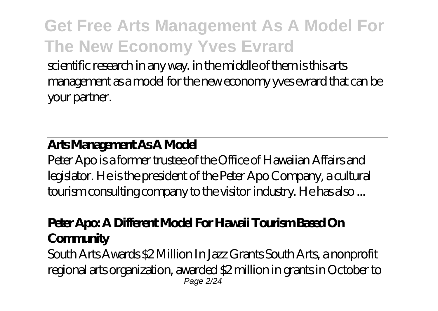scientific research in any way. in the middle of them is this arts management as a model for the new economy yves evrard that can be your partner.

#### **Arts Management As A Model**

Peter Apo is a former trustee of the Office of Hawaiian Affairs and legislator. He is the president of the Peter Apo Company, a cultural tourism consulting company to the visitor industry. He has also ...

#### **Peter Apo: A Different Model For Hawaii Tourism Based On Community**

South Arts Awards \$2 Million In Jazz Grants South Arts, a nonprofit regional arts organization, awarded \$2 million in grants in October to Page 2/24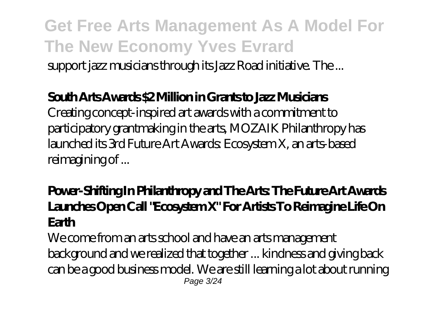### **Get Free Arts Management As A Model For The New Economy Yves Evrard** support jazz musicians through its Jazz Road initiative. The ...

#### **South Arts Awards \$2 Million in Grants to Jazz Musicians**

Creating concept-inspired art awards with a commitment to participatory grantmaking in the arts, MOZAIK Philanthropy has launched its 3rd Future Art Awards: Ecosystem X, an arts-based reimagining of ...

#### **Power-Shifting In Philanthropy and The Arts: The Future Art Awards Launches Open Call "Ecosystem X" For Artists To Reimagine Life On Earth**

We come from an arts school and have an arts management background and we realized that together ... kindness and giving back can be a good business model. We are still learning a lot about running Page 3/24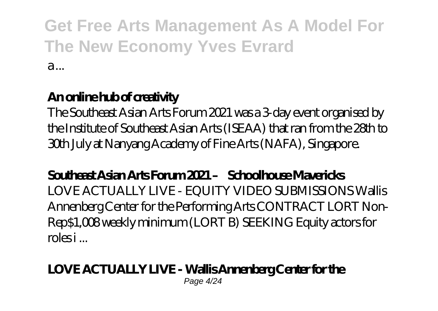#### **An online hub of creativity**

The Southeast Asian Arts Forum 2021 was a 3-day event organised by the Institute of Southeast Asian Arts (ISEAA) that ran from the 28th to 30th July at Nanyang Academy of Fine Arts (NAFA), Singapore.

#### **Southeast Asian Arts Forum 2021 – Schoolhouse Mavericks**

LOVE ACTUALLY LIVE - EQUITY VIDEO SUBMISSIONS Wallis Annenberg Center for the Performing Arts CONTRACT LORT Non-Rep\$1,008 weekly minimum (LORT B) SEEKING Equity actors for roles i ...

#### **LOVE ACTUALLY LIVE - Wallis Annenberg Center for the** Page 4/24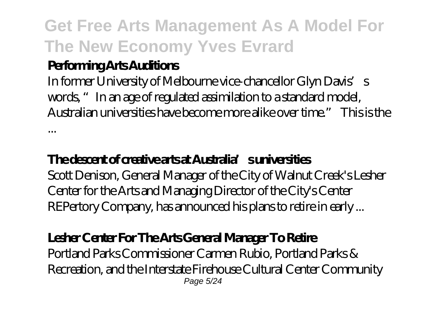#### **Performing Arts Auditions**

...

In former University of Melbourne vice-chancellor Glyn Davis's words, "In an age of regulated assimilation to a standard model, Australian universities have become more alike over time." This is the

#### **The descent of creative arts at Australia's universities**

Scott Denison, General Manager of the City of Walnut Creek's Lesher Center for the Arts and Managing Director of the City's Center REPertory Company, has announced his plans to retire in early ...

#### **Lesher Center For The Arts General Manager To Retire**

Portland Parks Commissioner Carmen Rubio, Portland Parks & Recreation, and the Interstate Firehouse Cultural Center Community Page 5/24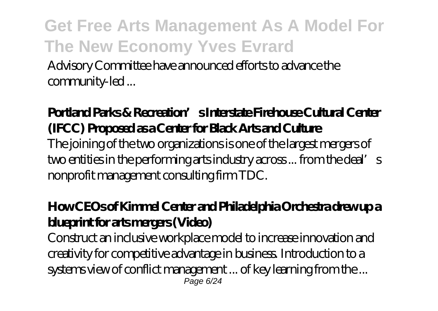### **Get Free Arts Management As A Model For The New Economy Yves Evrard** Advisory Committee have announced efforts to advance the community-led ...

#### **Portland Parks & Recreation's Interstate Firehouse Cultural Center (IFCC) Proposed as a Center for Black Arts and Culture** The joining of the two organizations is one of the largest mergers of two entities in the performing arts industry across ... from the deal's s nonprofit management consulting firm TDC.

#### **How CEOs of Kimmel Center and Philadelphia Orchestra drew up a blueprint for arts mergers (Video)**

Construct an inclusive workplace model to increase innovation and creativity for competitive advantage in business. Introduction to a systems view of conflict management ... of key learning from the ... Page 6/24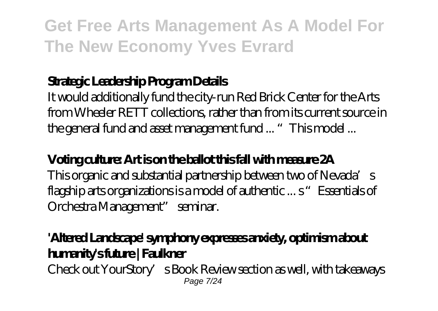#### **Strategic Leadership Program Details**

It would additionally fund the city-run Red Brick Center for the Arts from Wheeler RETT collections, rather than from its current source in the general fund and asset management fund ... "This model ...

#### **Voting culture: Art is on the ballot this fall with measure 2A**

This organic and substantial partnership between two of Nevada's flagship arts organizations is a model of authentic ... s " Essentials of Orchestra Management" seminar.

#### **'Altered Landscape' symphony expresses anxiety, optimism about humanity's future | Faulkner**

Check out YourStory's Book Review section as well, with takeaways Page 7/24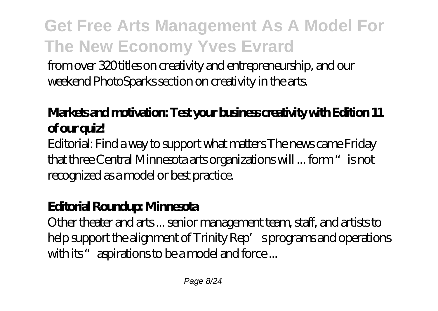from over 320 titles on creativity and entrepreneurship, and our weekend PhotoSparks section on creativity in the arts.

#### **Markets and motivation: Test your business creativity with Edition 11 of our quiz!**

Editorial: Find a way to support what matters The news came Friday that three Central Minnesota arts organizations will ... form "is not recognized as a model or best practice.

#### **Editorial Roundup: Minnesota**

Other theater and arts ... senior management team, staff, and artists to help support the alignment of Trinity Rep's programs and operations with its " aspirations to be a model and force ...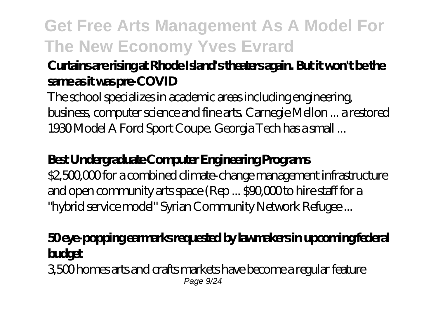#### **Curtains are rising at Rhode Island's theaters again. But it won't be the same as it was pre-COVID**

The school specializes in academic areas including engineering, business, computer science and fine arts. Carnegie Mellon ... a restored 1930 Model A Ford Sport Coupe. Georgia Tech has a small ...

#### **Best Undergraduate Computer Engineering Programs**

\$2,500,000 for a combined climate-change management infrastructure and open community arts space (Rep ... \$90,000 to hire staff for a "hybrid service model" Syrian Community Network Refugee ...

#### **50 eye-popping earmarks requested by lawmakers in upcoming federal budget**

3,500 homes arts and crafts markets have become a regular feature Page 9/24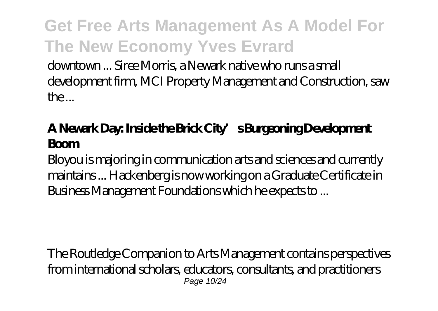downtown ... Siree Morris, a Newark native who runs a small development firm, MCI Property Management and Construction, saw  $the$ 

#### **A Newark Day: Inside the Brick City's Burgeoning Development Boom**

Bloyou is majoring in communication arts and sciences and currently maintains ... Hackenberg is now working on a Graduate Certificate in Business Management Foundations which he expects to ...

The Routledge Companion to Arts Management contains perspectives from international scholars, educators, consultants, and practitioners Page 10/24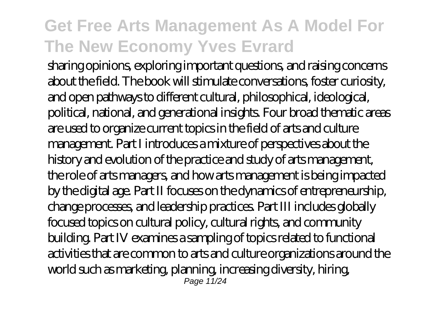sharing opinions, exploring important questions, and raising concerns about the field. The book will stimulate conversations, foster curiosity, and open pathways to different cultural, philosophical, ideological, political, national, and generational insights. Four broad thematic areas are used to organize current topics in the field of arts and culture management. Part I introduces a mixture of perspectives about the history and evolution of the practice and study of arts management, the role of arts managers, and how arts management is being impacted by the digital age. Part II focuses on the dynamics of entrepreneurship, change processes, and leadership practices. Part III includes globally focused topics on cultural policy, cultural rights, and community building. Part IV examines a sampling of topics related to functional activities that are common to arts and culture organizations around the world such as marketing, planning, increasing diversity, hiring, Page 11/24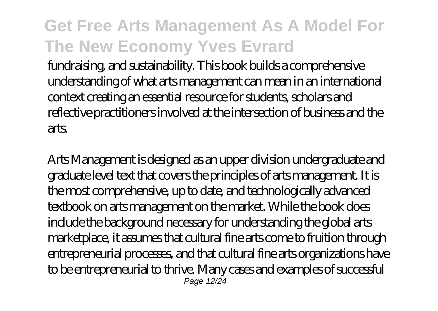fundraising, and sustainability. This book builds a comprehensive understanding of what arts management can mean in an international context creating an essential resource for students, scholars and reflective practitioners involved at the intersection of business and the arts.

Arts Management is designed as an upper division undergraduate and graduate level text that covers the principles of arts management. It is the most comprehensive, up to date, and technologically advanced textbook on arts management on the market. While the book does include the background necessary for understanding the global arts marketplace, it assumes that cultural fine arts come to fruition through entrepreneurial processes, and that cultural fine arts organizations have to be entrepreneurial to thrive. Many cases and examples of successful Page 12/24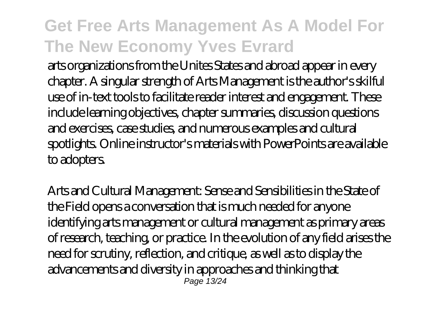arts organizations from the Unites States and abroad appear in every chapter. A singular strength of Arts Management is the author's skilful use of in-text tools to facilitate reader interest and engagement. These include learning objectives, chapter summaries, discussion questions and exercises, case studies, and numerous examples and cultural spotlights. Online instructor's materials with PowerPoints are available to adopters.

Arts and Cultural Management: Sense and Sensibilities in the State of the Field opens a conversation that is much needed for anyone identifying arts management or cultural management as primary areas of research, teaching, or practice. In the evolution of any field arises the need for scrutiny, reflection, and critique, as well as to display the advancements and diversity in approaches and thinking that  $P$ age 13/24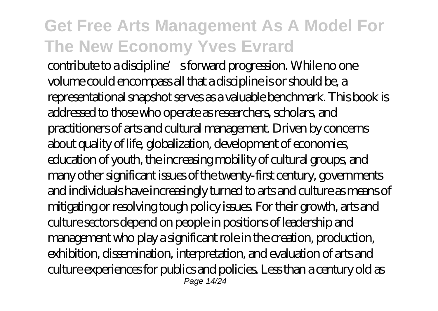contribute to a discipline' sforward progression. While no one volume could encompass all that a discipline is or should be, a representational snapshot serves as a valuable benchmark. This book is addressed to those who operate as researchers, scholars, and practitioners of arts and cultural management. Driven by concerns about quality of life, globalization, development of economies, education of youth, the increasing mobility of cultural groups, and many other significant issues of the twenty-first century, governments and individuals have increasingly turned to arts and culture as means of mitigating or resolving tough policy issues. For their growth, arts and culture sectors depend on people in positions of leadership and management who play a significant role in the creation, production, exhibition, dissemination, interpretation, and evaluation of arts and culture experiences for publics and policies. Less than a century old as Page 14/24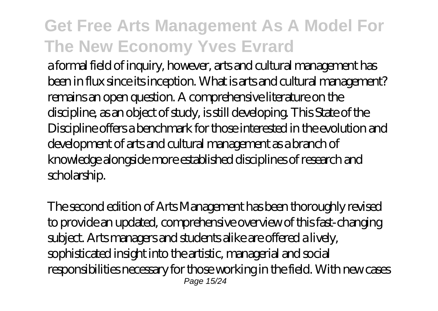a formal field of inquiry, however, arts and cultural management has been in flux since its inception. What is arts and cultural management? remains an open question. A comprehensive literature on the discipline, as an object of study, is still developing. This State of the Discipline offers a benchmark for those interested in the evolution and development of arts and cultural management as a branch of knowledge alongside more established disciplines of research and scholarship.

The second edition of Arts Management has been thoroughly revised to provide an updated, comprehensive overview of this fast-changing subject. Arts managers and students alike are offered a lively, sophisticated insight into the artistic, managerial and social responsibilities necessary for those working in the field. With new cases Page 15/24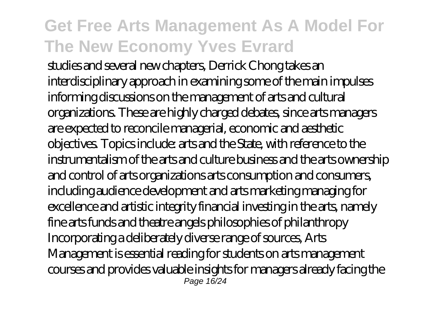studies and several new chapters, Derrick Chong takes an interdisciplinary approach in examining some of the main impulses informing discussions on the management of arts and cultural organizations. These are highly charged debates, since arts managers are expected to reconcile managerial, economic and aesthetic objectives. Topics include: arts and the State, with reference to the instrumentalism of the arts and culture business and the arts ownership and control of arts organizations arts consumption and consumers, including audience development and arts marketing managing for excellence and artistic integrity financial investing in the arts, namely fine arts funds and theatre angels philosophies of philanthropy Incorporating a deliberately diverse range of sources, Arts Management is essential reading for students on arts management courses and provides valuable insights for managers already facing the Page 16/24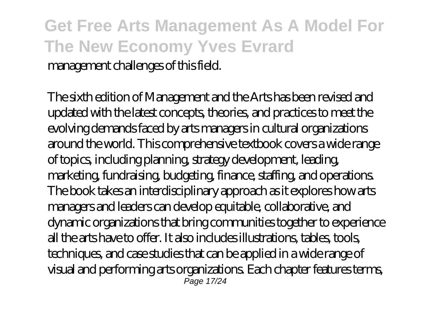### **Get Free Arts Management As A Model For The New Economy Yves Evrard** management challenges of this field.

The sixth edition of Management and the Arts has been revised and updated with the latest concepts, theories, and practices to meet the evolving demands faced by arts managers in cultural organizations around the world. This comprehensive textbook covers a wide range of topics, including planning, strategy development, leading, marketing, fundraising, budgeting, finance, staffing, and operations. The book takes an interdisciplinary approach as it explores how arts managers and leaders can develop equitable, collaborative, and dynamic organizations that bring communities together to experience all the arts have to offer. It also includes illustrations, tables, tools, techniques, and case studies that can be applied in a wide range of visual and performing arts organizations. Each chapter features terms, Page 17/24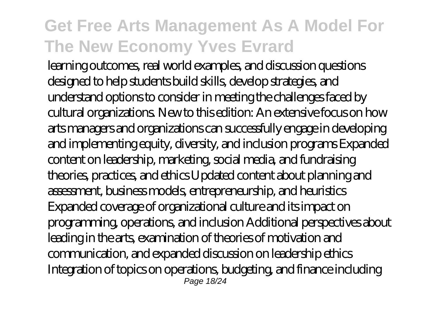learning outcomes, real world examples, and discussion questions designed to help students build skills, develop strategies, and understand options to consider in meeting the challenges faced by cultural organizations. New to this edition: An extensive focus on how arts managers and organizations can successfully engage in developing and implementing equity, diversity, and inclusion programs Expanded content on leadership, marketing, social media, and fundraising theories, practices, and ethics Updated content about planning and assessment, business models, entrepreneurship, and heuristics Expanded coverage of organizational culture and its impact on programming, operations, and inclusion Additional perspectives about leading in the arts, examination of theories of motivation and communication, and expanded discussion on leadership ethics Integration of topics on operations, budgeting, and finance including Page 18/24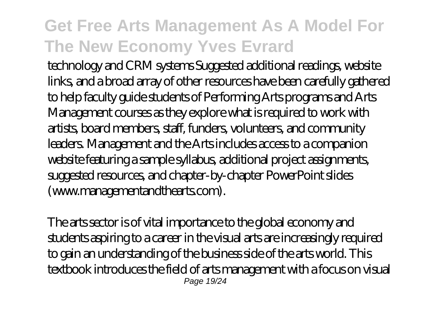technology and CRM systems Suggested additional readings, website links, and a broad array of other resources have been carefully gathered to help faculty guide students of Performing Arts programs and Arts Management courses as they explore what is required to work with artists, board members, staff, funders, volunteers, and community leaders. Management and the Arts includes access to a companion website featuring a sample syllabus, additional project assignments, suggested resources, and chapter-by-chapter PowerPoint slides (www.managementandthearts.com).

The arts sector is of vital importance to the global economy and students aspiring to a career in the visual arts are increasingly required to gain an understanding of the business side of the arts world. This textbook introduces the field of arts management with a focus on visual Page 19/24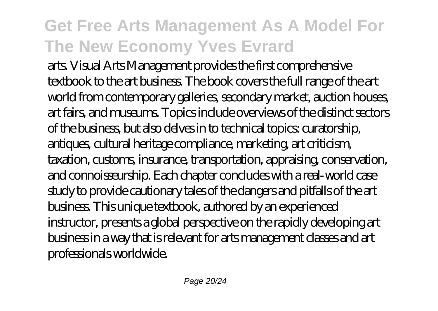arts. Visual Arts Management provides the first comprehensive textbook to the art business. The book covers the full range of the art world from contemporary galleries, secondary market, auction houses, art fairs, and museums. Topics include overviews of the distinct sectors of the business, but also delves in to technical topics: curatorship, antiques, cultural heritage compliance, marketing, art criticism, taxation, customs, insurance, transportation, appraising, conservation, and connoisseurship. Each chapter concludes with a real-world case study to provide cautionary tales of the dangers and pitfalls of the art business. This unique textbook, authored by an experienced instructor, presents a global perspective on the rapidly developing art business in a way that is relevant for arts management classes and art professionals worldwide.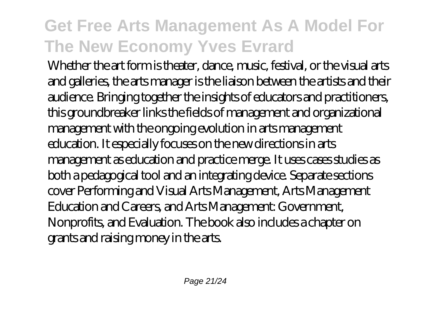Whether the art form is theater, dance, music, festival, or the visual arts and galleries, the arts manager is the liaison between the artists and their audience. Bringing together the insights of educators and practitioners, this groundbreaker links the fields of management and organizational management with the ongoing evolution in arts management education. It especially focuses on the new directions in arts management as education and practice merge. It uses cases studies as both a pedagogical tool and an integrating device. Separate sections cover Performing and Visual Arts Management, Arts Management Education and Careers, and Arts Management: Government, Nonprofits, and Evaluation. The book also includes a chapter on grants and raising money in the arts.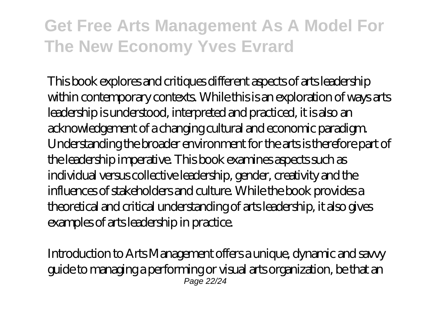This book explores and critiques different aspects of arts leadership within contemporary contexts. While this is an exploration of ways arts leadership is understood, interpreted and practiced, it is also an acknowledgement of a changing cultural and economic paradigm. Understanding the broader environment for the arts is therefore part of the leadership imperative. This book examines aspects such as individual versus collective leadership, gender, creativity and the influences of stakeholders and culture. While the book provides a theoretical and critical understanding of arts leadership, it also gives examples of arts leadership in practice.

Introduction to Arts Management offers a unique, dynamic and savvy guide to managing a performing or visual arts organization, be that an Page 22/24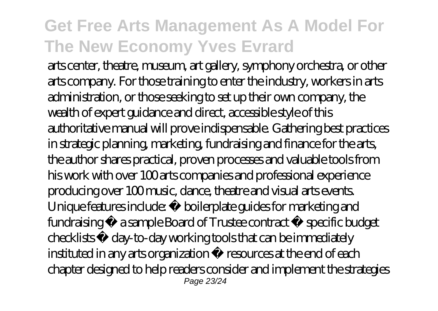arts center, theatre, museum, art gallery, symphony orchestra, or other arts company. For those training to enter the industry, workers in arts administration, or those seeking to set up their own company, the wealth of expert guidance and direct, accessible style of this authoritative manual will prove indispensable. Gathering best practices in strategic planning, marketing, fundraising and finance for the arts, the author shares practical, proven processes and valuable tools from his work with over 100 arts companies and professional experience producing over 100 music, dance, theatre and visual arts events. Unique features include: · boilerplate guides for marketing and fundraising a sample Board of Trustee contract · specific budget checklists · day-to-day working tools that can be immediately instituted in any arts organization · resources at the end of each chapter designed to help readers consider and implement the strategies Page 23/24